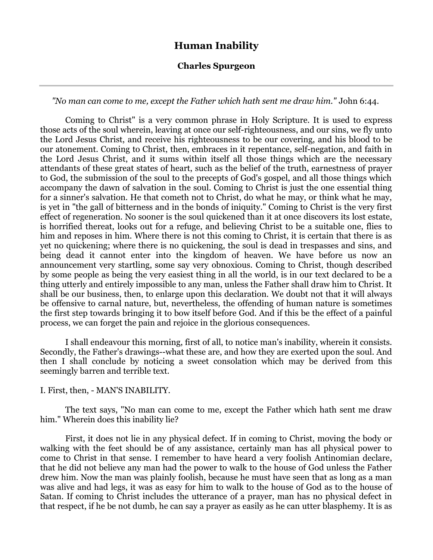# **Human Inability**

## **Charles Spurgeon**

## *"No man can come to me, except the Father which hath sent me draw him."* John 6:44.

Coming to Christ" is a very common phrase in Holy Scripture. It is used to express those acts of the soul wherein, leaving at once our self-righteousness, and our sins, we fly unto the Lord Jesus Christ, and receive his righteousness to be our covering, and his blood to be our atonement. Coming to Christ, then, embraces in it repentance, self-negation, and faith in the Lord Jesus Christ, and it sums within itself all those things which are the necessary attendants of these great states of heart, such as the belief of the truth, earnestness of prayer to God, the submission of the soul to the precepts of God's gospel, and all those things which accompany the dawn of salvation in the soul. Coming to Christ is just the one essential thing for a sinner's salvation. He that cometh not to Christ, do what he may, or think what he may, is yet in "the gall of bitterness and in the bonds of iniquity." Coming to Christ is the very first effect of regeneration. No sooner is the soul quickened than it at once discovers its lost estate, is horrified thereat, looks out for a refuge, and believing Christ to be a suitable one, flies to him and reposes in him. Where there is not this coming to Christ, it is certain that there is as yet no quickening; where there is no quickening, the soul is dead in trespasses and sins, and being dead it cannot enter into the kingdom of heaven. We have before us now an announcement very startling, some say very obnoxious. Coming to Christ, though described by some people as being the very easiest thing in all the world, is in our text declared to be a thing utterly and entirely impossible to any man, unless the Father shall draw him to Christ. It shall be our business, then, to enlarge upon this declaration. We doubt not that it will always be offensive to carnal nature, but, nevertheless, the offending of human nature is sometimes the first step towards bringing it to bow itself before God. And if this be the effect of a painful process, we can forget the pain and rejoice in the glorious consequences.

I shall endeavour this morning, first of all, to notice man's inability, wherein it consists. Secondly, the Father's drawings--what these are, and how they are exerted upon the soul. And then I shall conclude by noticing a sweet consolation which may be derived from this seemingly barren and terrible text.

### I. First, then, - MAN'S INABILITY.

The text says, "No man can come to me, except the Father which hath sent me draw him." Wherein does this inability lie?

First, it does not lie in any physical defect. If in coming to Christ, moving the body or walking with the feet should be of any assistance, certainly man has all physical power to come to Christ in that sense. I remember to have heard a very foolish Antinomian declare, that he did not believe any man had the power to walk to the house of God unless the Father drew him. Now the man was plainly foolish, because he must have seen that as long as a man was alive and had legs, it was as easy for him to walk to the house of God as to the house of Satan. If coming to Christ includes the utterance of a prayer, man has no physical defect in that respect, if he be not dumb, he can say a prayer as easily as he can utter blasphemy. It is as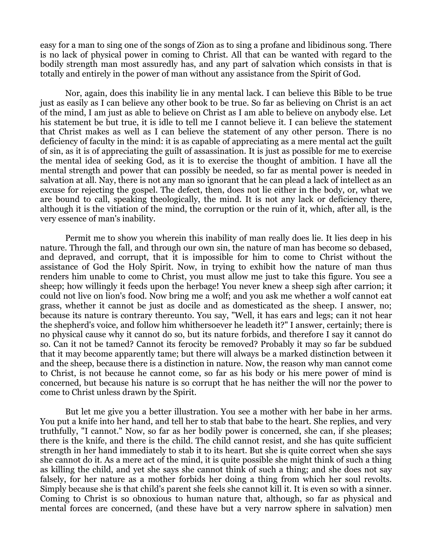easy for a man to sing one of the songs of Zion as to sing a profane and libidinous song. There is no lack of physical power in coming to Christ. All that can be wanted with regard to the bodily strength man most assuredly has, and any part of salvation which consists in that is totally and entirely in the power of man without any assistance from the Spirit of God.

Nor, again, does this inability lie in any mental lack. I can believe this Bible to be true just as easily as I can believe any other book to be true. So far as believing on Christ is an act of the mind, I am just as able to believe on Christ as I am able to believe on anybody else. Let his statement be but true, it is idle to tell me I cannot believe it. I can believe the statement that Christ makes as well as I can believe the statement of any other person. There is no deficiency of faculty in the mind: it is as capable of appreciating as a mere mental act the guilt of sin, as it is of appreciating the guilt of assassination. It is just as possible for me to exercise the mental idea of seeking God, as it is to exercise the thought of ambition. I have all the mental strength and power that can possibly be needed, so far as mental power is needed in salvation at all. Nay, there is not any man so ignorant that he can plead a lack of intellect as an excuse for rejecting the gospel. The defect, then, does not lie either in the body, or, what we are bound to call, speaking theologically, the mind. It is not any lack or deficiency there, although it is the vitiation of the mind, the corruption or the ruin of it, which, after all, is the very essence of man's inability.

Permit me to show you wherein this inability of man really does lie. It lies deep in his nature. Through the fall, and through our own sin, the nature of man has become so debased, and depraved, and corrupt, that it is impossible for him to come to Christ without the assistance of God the Holy Spirit. Now, in trying to exhibit how the nature of man thus renders him unable to come to Christ, you must allow me just to take this figure. You see a sheep; how willingly it feeds upon the herbage! You never knew a sheep sigh after carrion; it could not live on lion's food. Now bring me a wolf; and you ask me whether a wolf cannot eat grass, whether it cannot be just as docile and as domesticated as the sheep. I answer, no; because its nature is contrary thereunto. You say, "Well, it has ears and legs; can it not hear the shepherd's voice, and follow him whithersoever he leadeth it?" I answer, certainly; there is no physical cause why it cannot do so, but its nature forbids, and therefore I say it cannot do so. Can it not be tamed? Cannot its ferocity be removed? Probably it may so far be subdued that it may become apparently tame; but there will always be a marked distinction between it and the sheep, because there is a distinction in nature. Now, the reason why man cannot come to Christ, is not because he cannot come, so far as his body or his mere power of mind is concerned, but because his nature is so corrupt that he has neither the will nor the power to come to Christ unless drawn by the Spirit.

But let me give you a better illustration. You see a mother with her babe in her arms. You put a knife into her hand, and tell her to stab that babe to the heart. She replies, and very truthfully, "I cannot." Now, so far as her bodily power is concerned, she can, if she pleases; there is the knife, and there is the child. The child cannot resist, and she has quite sufficient strength in her hand immediately to stab it to its heart. But she is quite correct when she says she cannot do it. As a mere act of the mind, it is quite possible she might think of such a thing as killing the child, and yet she says she cannot think of such a thing; and she does not say falsely, for her nature as a mother forbids her doing a thing from which her soul revolts. Simply because she is that child's parent she feels she cannot kill it. It is even so with a sinner. Coming to Christ is so obnoxious to human nature that, although, so far as physical and mental forces are concerned, (and these have but a very narrow sphere in salvation) men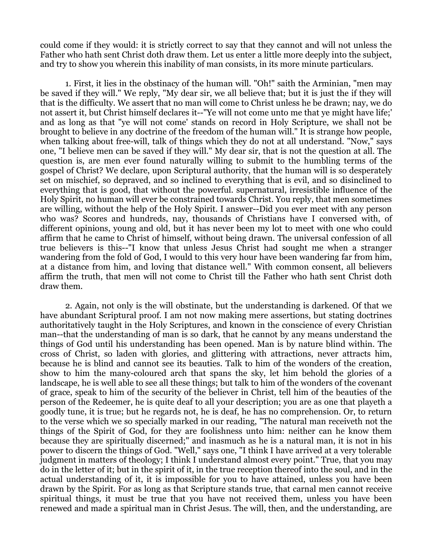could come if they would: it is strictly correct to say that they cannot and will not unless the Father who hath sent Christ doth draw them. Let us enter a little more deeply into the subject, and try to show you wherein this inability of man consists, in its more minute particulars.

1. First, it lies in the obstinacy of the human will. "Oh!" saith the Arminian, "men may be saved if they will." We reply, "My dear sir, we all believe that; but it is just the if they will that is the difficulty. We assert that no man will come to Christ unless he be drawn; nay, we do not assert it, but Christ himself declares it--"Ye will not come unto me that ye might have life;' and as long as that "ye will not come' stands on record in Holy Scripture, we shall not be brought to believe in any doctrine of the freedom of the human will." It is strange how people, when talking about free-will, talk of things which they do not at all understand. "Now," says one, "I believe men can be saved if they will." My dear sir, that is not the question at all. The question is, are men ever found naturally willing to submit to the humbling terms of the gospel of Christ? We declare, upon Scriptural authority, that the human will is so desperately set on mischief, so depraved, and so inclined to everything that is evil, and so disinclined to everything that is good, that without the powerful. supernatural, irresistible influence of the Holy Spirit, no human will ever be constrained towards Christ. You reply, that men sometimes are willing, without the help of the Holy Spirit. I answer--Did you ever meet with any person who was? Scores and hundreds, nay, thousands of Christians have I conversed with, of different opinions, young and old, but it has never been my lot to meet with one who could affirm that he came to Christ of himself, without being drawn. The universal confession of all true believers is this--"I know that unless Jesus Christ had sought me when a stranger wandering from the fold of God, I would to this very hour have been wandering far from him, at a distance from him, and loving that distance well." With common consent, all believers affirm the truth, that men will not come to Christ till the Father who hath sent Christ doth draw them.

2. Again, not only is the will obstinate, but the understanding is darkened. Of that we have abundant Scriptural proof. I am not now making mere assertions, but stating doctrines authoritatively taught in the Holy Scriptures, and known in the conscience of every Christian man--that the understanding of man is so dark, that he cannot by any means understand the things of God until his understanding has been opened. Man is by nature blind within. The cross of Christ, so laden with glories, and glittering with attractions, never attracts him, because he is blind and cannot see its beauties. Talk to him of the wonders of the creation, show to him the many-coloured arch that spans the sky, let him behold the glories of a landscape, he is well able to see all these things; but talk to him of the wonders of the covenant of grace, speak to him of the security of the believer in Christ, tell him of the beauties of the person of the Redeemer, he is quite deaf to all your description; you are as one that playeth a goodly tune, it is true; but he regards not, he is deaf, he has no comprehension. Or, to return to the verse which we so specially marked in our reading, "The natural man receiveth not the things of the Spirit of God, for they are foolishness unto him: neither can he know them because they are spiritually discerned;" and inasmuch as he is a natural man, it is not in his power to discern the things of God. "Well," says one, "I think I have arrived at a very tolerable judgment in matters of theology; I think I understand almost every point." True, that you may do in the letter of it; but in the spirit of it, in the true reception thereof into the soul, and in the actual understanding of it, it is impossible for you to have attained, unless you have been drawn by the Spirit. For as long as that Scripture stands true, that carnal men cannot receive spiritual things, it must be true that you have not received them, unless you have been renewed and made a spiritual man in Christ Jesus. The will, then, and the understanding, are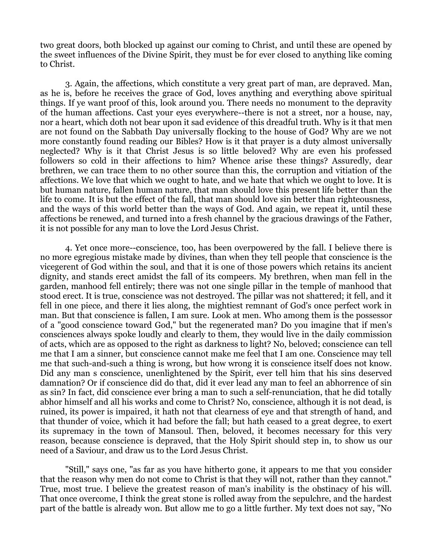two great doors, both blocked up against our coming to Christ, and until these are opened by the sweet influences of the Divine Spirit, they must be for ever closed to anything like coming to Christ.

3. Again, the affections, which constitute a very great part of man, are depraved. Man, as he is, before he receives the grace of God, loves anything and everything above spiritual things. If ye want proof of this, look around you. There needs no monument to the depravity of the human affections. Cast your eyes everywhere--there is not a street, nor a house, nay, nor a heart, which doth not bear upon it sad evidence of this dreadful truth. Why is it that men are not found on the Sabbath Day universally flocking to the house of God? Why are we not more constantly found reading our Bibles? How is it that prayer is a duty almost universally neglected? Why is it that Christ Jesus is so little beloved? Why are even his professed followers so cold in their affections to him? Whence arise these things? Assuredly, dear brethren, we can trace them to no other source than this, the corruption and vitiation of the affections. We love that which we ought to hate, and we hate that which we ought to love. It is but human nature, fallen human nature, that man should love this present life better than the life to come. It is but the effect of the fall, that man should love sin better than righteousness, and the ways of this world better than the ways of God. And again, we repeat it, until these affections be renewed, and turned into a fresh channel by the gracious drawings of the Father, it is not possible for any man to love the Lord Jesus Christ.

4. Yet once more--conscience, too, has been overpowered by the fall. I believe there is no more egregious mistake made by divines, than when they tell people that conscience is the vicegerent of God within the soul, and that it is one of those powers which retains its ancient dignity, and stands erect amidst the fall of its compeers. My brethren, when man fell in the garden, manhood fell entirely; there was not one single pillar in the temple of manhood that stood erect. It is true, conscience was not destroyed. The pillar was not shattered; it fell, and it fell in one piece, and there it lies along, the mightiest remnant of God's once perfect work in man. But that conscience is fallen, I am sure. Look at men. Who among them is the possessor of a "good conscience toward God," but the regenerated man? Do you imagine that if men's consciences always spoke loudly and clearly to them, they would live in the daily commission of acts, which are as opposed to the right as darkness to light? No, beloved; conscience can tell me that I am a sinner, but conscience cannot make me feel that I am one. Conscience may tell me that such-and-such a thing is wrong, but how wrong it is conscience itself does not know. Did any man s conscience, unenlightened by the Spirit, ever tell him that his sins deserved damnation? Or if conscience did do that, did it ever lead any man to feel an abhorrence of sin as sin? In fact, did conscience ever bring a man to such a self-renunciation, that he did totally abhor himself and all his works and come to Christ? No, conscience, although it is not dead, is ruined, its power is impaired, it hath not that clearness of eye and that strength of hand, and that thunder of voice, which it had before the fall; but hath ceased to a great degree, to exert its supremacy in the town of Mansoul. Then, beloved, it becomes necessary for this very reason, because conscience is depraved, that the Holy Spirit should step in, to show us our need of a Saviour, and draw us to the Lord Jesus Christ.

"Still," says one, "as far as you have hitherto gone, it appears to me that you consider that the reason why men do not come to Christ is that they will not, rather than they cannot." True, most true. I believe the greatest reason of man's inability is the obstinacy of his will. That once overcome, I think the great stone is rolled away from the sepulchre, and the hardest part of the battle is already won. But allow me to go a little further. My text does not say, "No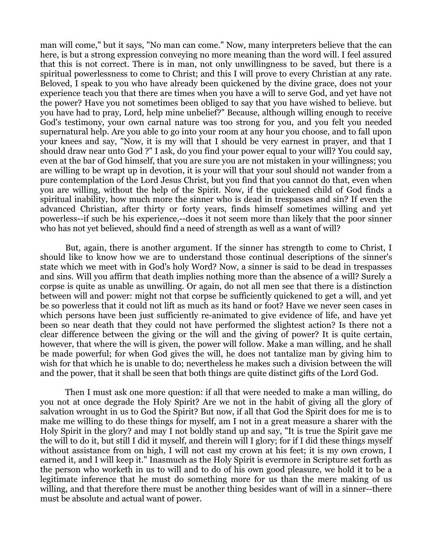man will come," but it says, "No man can come." Now, many interpreters believe that the can here, is but a strong expression conveying no more meaning than the word will. I feel assured that this is not correct. There is in man, not only unwillingness to be saved, but there is a spiritual powerlessness to come to Christ; and this I will prove to every Christian at any rate. Beloved, I speak to you who have already been quickened by the divine grace, does not your experience teach you that there are times when you have a will to serve God, and yet have not the power? Have you not sometimes been obliged to say that you have wished to believe. but you have had to pray, Lord, help mine unbelief?" Because, although willing enough to receive God's testimony, your own carnal nature was too strong for you, and you felt you needed supernatural help. Are you able to go into your room at any hour you choose, and to fall upon your knees and say, "Now, it is my will that I should be very earnest in prayer, and that I should draw near unto God ?" I ask, do you find your power equal to your will? You could say, even at the bar of God himself, that you are sure you are not mistaken in your willingness; you are willing to be wrapt up in devotion, it is your will that your soul should not wander from a pure contemplation of the Lord Jesus Christ, but you find that you cannot do that, even when you are willing, without the help of the Spirit. Now, if the quickened child of God finds a spiritual inability, how much more the sinner who is dead in trespasses and sin? If even the advanced Christian, after thirty or forty years, finds himself sometimes willing and yet powerless--if such be his experience,--does it not seem more than likely that the poor sinner who has not yet believed, should find a need of strength as well as a want of will?

But, again, there is another argument. If the sinner has strength to come to Christ, I should like to know how we are to understand those continual descriptions of the sinner's state which we meet with in God's holy Word? Now, a sinner is said to be dead in trespasses and sins. Will you affirm that death implies nothing more than the absence of a will? Surely a corpse is quite as unable as unwilling. Or again, do not all men see that there is a distinction between will and power: might not that corpse be sufficiently quickened to get a will, and yet be so powerless that it could not lift as much as its hand or foot? Have we never seen cases in which persons have been just sufficiently re-animated to give evidence of life, and have yet been so near death that they could not have performed the slightest action? Is there not a clear difference between the giving or the will and the giving of power? It is quite certain, however, that where the will is given, the power will follow. Make a man willing, and he shall be made powerful; for when God gives the will, he does not tantalize man by giving him to wish for that which he is unable to do; nevertheless he makes such a division between the will and the power, that it shall be seen that both things are quite distinct gifts of the Lord God.

Then I must ask one more question: if all that were needed to make a man willing, do you not at once degrade the Holy Spirit? Are we not in the habit of giving all the glory of salvation wrought in us to God the Spirit? But now, if all that God the Spirit does for me is to make me willing to do these things for myself, am I not in a great measure a sharer with the Holy Spirit in the glory? and may I not boldly stand up and say, "It is true the Spirit gave me the will to do it, but still I did it myself, and therein will I glory; for if I did these things myself without assistance from on high, I will not cast my crown at his feet; it is my own crown, I earned it, and I will keep it." Inasmuch as the Holy Spirit is evermore in Scripture set forth as the person who worketh in us to will and to do of his own good pleasure, we hold it to be a legitimate inference that he must do something more for us than the mere making of us willing, and that therefore there must be another thing besides want of will in a sinner--there must be absolute and actual want of power.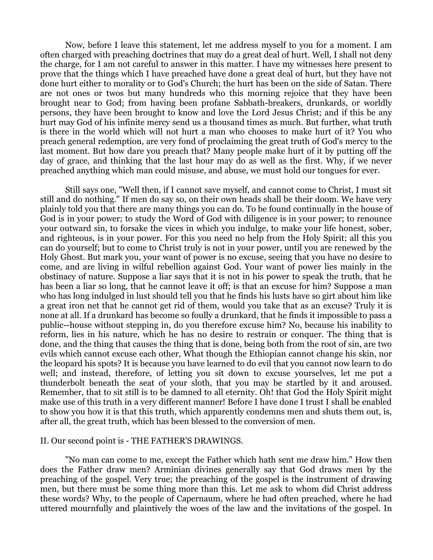Now, before I leave this statement, let me address myself to you for a moment. I am often charged with preaching doctrines that may do a great deal of hurt. Well, I shall not deny the charge, for I am not careful to answer in this matter. I have my witnesses here present to prove that the things which I have preached have done a great deal of hurt, but they have not done hurt either to morality or to God's Church; the hurt has been on the side of Satan. There are not ones or twos but many hundreds who this morning rejoice that they have been brought near to God; from having been profane Sabbath-breakers, drunkards, or worldly persons, they have been brought to know and love the Lord Jesus Christ; and if this be any hurt may God of his infinite mercy send us a thousand times as much. But further, what truth is there in the world which will not hurt a man who chooses to make hurt of it? You who preach general redemption, are very fond of proclaiming the great truth of God's mercy to the last moment. But how dare you preach that? Many people make hurt of it by putting off the day of grace, and thinking that the last hour may do as well as the first. Why, if we never preached anything which man could misuse, and abuse, we must hold our tongues for ever.

Still says one, "Well then, if I cannot save myself, and cannot come to Christ, I must sit still and do nothing." If men do say so, on their own heads shall be their doom. We have very plainly told you that there are many things you can do. To be found continually in the house of God is in your power; to study the Word of God with diligence is in your power; to renounce your outward sin, to forsake the vices in which you indulge, to make your life honest, sober, and righteous, is in your power. For this you need no help from the Holy Spirit; all this you can do yourself; but to come to Christ truly is not in your power, until you are renewed by the Holy Ghost. But mark you, your want of power is no excuse, seeing that you have no desire to come, and are living in wilful rebellion against God. Your want of power lies mainly in the obstinacy of nature. Suppose a liar says that it is not in his power to speak the truth, that he has been a liar so long, that he cannot leave it off; is that an excuse for him? Suppose a man who has long indulged in lust should tell you that he finds his lusts have so girt about him like a great iron net that he cannot get rid of them, would you take that as an excuse? Truly it is none at all. If a drunkard has become so foully a drunkard, that he finds it impossible to pass a public--house without stepping in, do you therefore excuse him? No, because his inability to reform, lies in his nature, which he has no desire to restrain or conquer. The thing that is done, and the thing that causes the thing that is done, being both from the root of sin, are two evils which cannot excuse each other, What though the Ethiopian cannot change his skin, nor the leopard his spots? It is because you have learned to do evil that you cannot now learn to do well; and instead, therefore, of letting you sit down to excuse yourselves, let me put a thunderbolt beneath the seat of your sloth, that you may be startled by it and aroused. Remember, that to sit still is to be damned to all eternity. Oh! that God the Holy Spirit might make use of this truth in a very different manner! Before I have done I trust I shall be enabled to show you how it is that this truth, which apparently condemns men and shuts them out, is, after all, the great truth, which has been blessed to the conversion of men.

### II. Our second point is - THE FATHER'S DRAWINGS.

"No man can come to me, except the Father which hath sent me draw him." How then does the Father draw men? Arminian divines generally say that God draws men by the preaching of the gospel. Very true; the preaching of the gospel is the instrument of drawing men, but there must be some thing more than this. Let me ask to whom did Christ address these words? Why, to the people of Capernaum, where he had often preached, where he had uttered mournfully and plaintively the woes of the law and the invitations of the gospel. In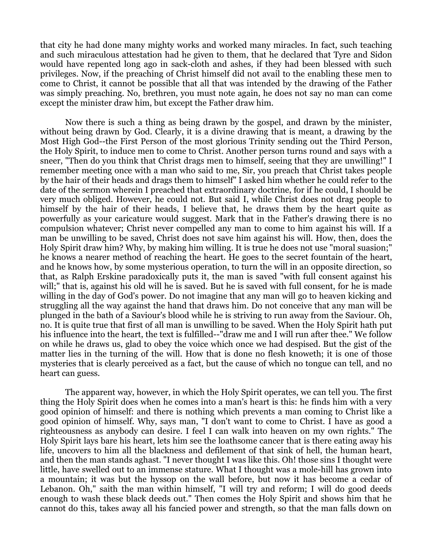that city he had done many mighty works and worked many miracles. In fact, such teaching and such miraculous attestation had he given to them, that he declared that Tyre and Sidon would have repented long ago in sack-cloth and ashes, if they had been blessed with such privileges. Now, if the preaching of Christ himself did not avail to the enabling these men to come to Christ, it cannot be possible that all that was intended by the drawing of the Father was simply preaching. No, brethren, you must note again, he does not say no man can come except the minister draw him, but except the Father draw him.

Now there is such a thing as being drawn by the gospel, and drawn by the minister, without being drawn by God. Clearly, it is a divine drawing that is meant, a drawing by the Most High God--the First Person of the most glorious Trinity sending out the Third Person, the Holy Spirit, to induce men to come to Christ. Another person turns round and says with a sneer, "Then do you think that Christ drags men to himself, seeing that they are unwilling!" I remember meeting once with a man who said to me, Sir, you preach that Christ takes people by the hair of their heads and drags them to himself" I asked him whether he could refer to the date of the sermon wherein I preached that extraordinary doctrine, for if he could, I should be very much obliged. However, he could not. But said I, while Christ does not drag people to himself by the hair of their heads, I believe that, he draws them by the heart quite as powerfully as your caricature would suggest. Mark that in the Father's drawing there is no compulsion whatever; Christ never compelled any man to come to him against his will. If a man be unwilling to be saved, Christ does not save him against his will. How, then, does the Holy Spirit draw him? Why, by making him willing. It is true he does not use "moral suasion;" he knows a nearer method of reaching the heart. He goes to the secret fountain of the heart, and he knows how, by some mysterious operation, to turn the will in an opposite direction, so that, as Ralph Erskine paradoxically puts it, the man is saved "with full consent against his will;" that is, against his old will he is saved. But he is saved with full consent, for he is made willing in the day of God's power. Do not imagine that any man will go to heaven kicking and struggling all the way against the hand that draws him. Do not conceive that any man will be plunged in the bath of a Saviour's blood while he is striving to run away from the Saviour. Oh, no. It is quite true that first of all man is unwilling to be saved. When the Holy Spirit hath put his influence into the heart, the text is fulfilled--"draw me and I will run after thee." We follow on while he draws us, glad to obey the voice which once we had despised. But the gist of the matter lies in the turning of the will. How that is done no flesh knoweth; it is one of those mysteries that is clearly perceived as a fact, but the cause of which no tongue can tell, and no heart can guess.

The apparent way, however, in which the Holy Spirit operates, we can tell you. The first thing the Holy Spirit does when he comes into a man's heart is this: he finds him with a very good opinion of himself: and there is nothing which prevents a man coming to Christ like a good opinion of himself. Why, says man, "I don't want to come to Christ. I have as good a righteousness as anybody can desire. I feel I can walk into heaven on my own rights." The Holy Spirit lays bare his heart, lets him see the loathsome cancer that is there eating away his life, uncovers to him all the blackness and defilement of that sink of hell, the human heart, and then the man stands aghast. "I never thought I was like this. Oh! those sins I thought were little, have swelled out to an immense stature. What I thought was a mole-hill has grown into a mountain; it was but the hyssop on the wall before, but now it has become a cedar of Lebanon. Oh," saith the man within himself, "I will try and reform; I will do good deeds enough to wash these black deeds out." Then comes the Holy Spirit and shows him that he cannot do this, takes away all his fancied power and strength, so that the man falls down on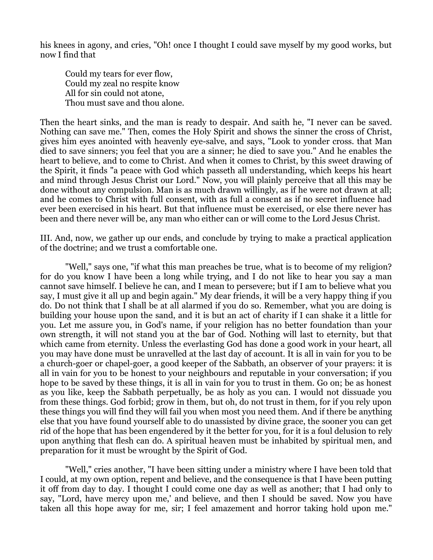his knees in agony, and cries, "Oh! once I thought I could save myself by my good works, but now I find that

Could my tears for ever flow, Could my zeal no respite know All for sin could not atone, Thou must save and thou alone.

Then the heart sinks, and the man is ready to despair. And saith he, "I never can be saved. Nothing can save me." Then, comes the Holy Spirit and shows the sinner the cross of Christ, gives him eyes anointed with heavenly eye-salve, and says, "Look to yonder cross. that Man died to save sinners; you feel that you are a sinner; he died to save you." And he enables the heart to believe, and to come to Christ. And when it comes to Christ, by this sweet drawing of the Spirit, it finds "a peace with God which passeth all understanding, which keeps his heart and mind through Jesus Christ our Lord." Now, you will plainly perceive that all this may be done without any compulsion. Man is as much drawn willingly, as if he were not drawn at all; and he comes to Christ with full consent, with as full a consent as if no secret influence had ever been exercised in his heart. But that influence must be exercised, or else there never has been and there never will be, any man who either can or will come to the Lord Jesus Christ.

III. And, now, we gather up our ends, and conclude by trying to make a practical application of the doctrine; and we trust a comfortable one.

"Well," says one, "if what this man preaches be true, what is to become of my religion? for do you know I have been a long while trying, and I do not like to hear you say a man cannot save himself. I believe he can, and I mean to persevere; but if I am to believe what you say, I must give it all up and begin again." My dear friends, it will be a very happy thing if you do. Do not think that I shall be at all alarmed if you do so. Remember, what you are doing is building your house upon the sand, and it is but an act of charity if I can shake it a little for you. Let me assure you, in God's name, if your religion has no better foundation than your own strength, it will not stand you at the bar of God. Nothing will last to eternity, but that which came from eternity. Unless the everlasting God has done a good work in your heart, all you may have done must be unravelled at the last day of account. It is all in vain for you to be a church-goer or chapel-goer, a good keeper of the Sabbath, an observer of your prayers: it is all in vain for you to be honest to your neighbours and reputable in your conversation; if you hope to be saved by these things, it is all in vain for you to trust in them. Go on; be as honest as you like, keep the Sabbath perpetually, be as holy as you can. I would not dissuade you from these things. God forbid; grow in them, but oh, do not trust in them, for if you rely upon these things you will find they will fail you when most you need them. And if there be anything else that you have found yourself able to do unassisted by divine grace, the sooner you can get rid of the hope that has been engendered by it the better for you, for it is a foul delusion to rely upon anything that flesh can do. A spiritual heaven must be inhabited by spiritual men, and preparation for it must be wrought by the Spirit of God.

"Well," cries another, "I have been sitting under a ministry where I have been told that I could, at my own option, repent and believe, and the consequence is that I have been putting it off from day to day. I thought I could come one day as well as another; that I had only to say, "Lord, have mercy upon me,' and believe, and then I should be saved. Now you have taken all this hope away for me, sir; I feel amazement and horror taking hold upon me."